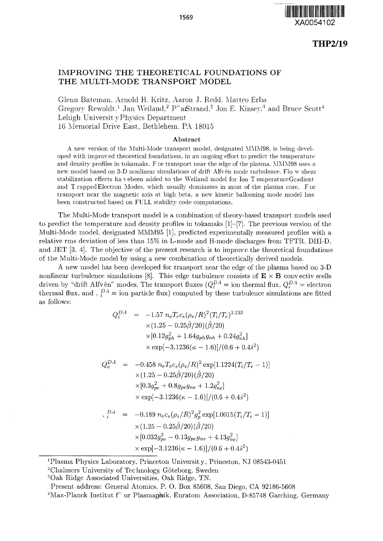

## **IMPROVING THE THEORETICAL FOUNDATIONS OF THE MULTI-MODE TRANSPORT MODEL**

Glenn Bateman, Arnold H. Kritz, Aaron J. Redd. Matteo Erba Gregory Rewoldt,<sup>1</sup> Jan Weiland,<sup>2</sup> P"arStrand,<sup>2</sup> Jon E. Kinsey,<sup>3</sup> and Bruce Scott<sup>4</sup> Lehigh Universit y Physics Department 1C Memorial Drive East, Bethlehem. PA 18015

## Abstract

A new version of the Multi-Mode transport model, designated MMM98, is being developed with improved theoretical foundations, in an ongoing effort to predict the temperature and density profiles in tokamaks. F or transport near the edge of the plasma, MMM98 uses a new model based on 3-D nonlinear simulations of drift Alfv en mode turbulence. Flo w shear stabilization effects havebeen added to the Weiland model for Ion T emperatureGradient and T rapped Electron Modes, which usually dominates in most of the plasma core. For transport near the magnetic axis at high beta, a new kinetic ballooning mode model has been constructed based on FULL stability code computations.

The Multi-Mode transport model is a combination of theory-based transport models used to predict the temperature and density profiles in tokamaks [l]-[7]. The previous version of the Multi-Mode model, designated MMM95 [1], predicted experimentally measured profiles with a relative rms deviation of less than 15% in L-mode and H-mode discharges from TFTR. DIII-D. and JET [3, 4]. The objective of the present research is to improve the theoretical foundations of the Multi-Mode model by using a new combination of theoretically derived models.

A new model has been developed for transport near the edge of the plasma based on 3-D nonlinear turbulence simulations [8]. This edge turbulence consists of  $E \times B$  convectiv ecells driven by "drift Alfven" modes. The transport fluxes  $(Q_i^{DA} = \text{ion thermal flux}, Q_e^{DA} = \text{electron}$ thermal flux, and ,  $_i^{DA}$  = ion particle flux) computed by these turbulence simulations are fitted as follows:

$$
Q_i^{DA} = -1.57 n_e T_e c_s (\rho_s/R)^2 (T_i/T_e)^{2.233}
$$
  
\n
$$
\times (1.25 - 0.25\hat{\beta}/20)(\hat{\beta}/20)
$$
  
\n
$$
\times [0.12g_{ph}^2 + 1.64g_{ph}g_{nh} + 0.24g_{nh}^2]
$$
  
\n
$$
\times \exp[-3.1236(\kappa - 1.6)]/(0.6 + 0.4\hat{s}^2)
$$
  
\n
$$
Q_e^{DA} = -0.458 n_e T_e c_s (\rho_s/R)^2 \exp[1.1224(T_i/T_e - 1)]
$$

$$
\times (1.25 - 0.25\hat{\beta}/20)(\hat{\beta}/20) \times [0.3g_{pe}^2 + 0.8g_{pe}g_{ne} + 1.2g_{ne}^2] \times \exp[-3.1236(\kappa - 1.6)]/(0.6 + 0.4\hat{s}^2)
$$

$$
{}_{i}^{DA} = -0.189 n_{e}c_{s}(\rho_{s}/R)^{2}g_{p}^{2} \exp[1.0015(T_{i}/T_{e}-1)]
$$
  
×(1.25 - 0.25 $\hat{\beta}$ /20)( $\hat{\beta}$ /20)  
×[0.032 $g_{pe}^{2}$  - 0.13 $g_{pe}g_{ne}$  + 4.13 $g_{ne}^{2}$ ]  
× exp[-3.1236( $\kappa$  - 1.6)]/(0.6 + 0.4 $\hat{s}^{2}$ )

1 Plasma Physics Laboratory. Princeton University. Princeton. NJ 08543-0451

<sup>2</sup>Chalmers University of Technology, Göteborg, Sweden

<sup>3</sup>Oak Ridge Associated Universities. Oak Ridge, TN.

Present address: General Atomics, P. O. Box 85608, San Diego, CA 92186-5608

<sup>4</sup>Max-Planck Institut f" ur Plasmapsik, Euratom Association, D-85748 Garching, Germany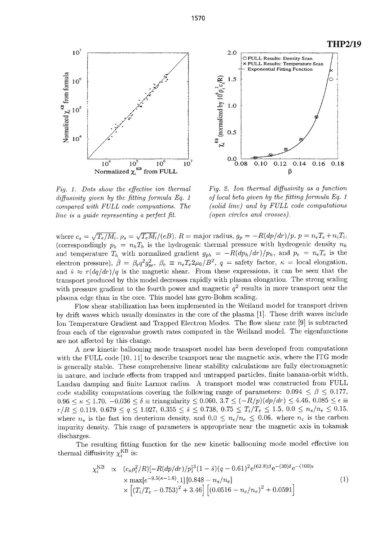





*Fig. 1. Dots show the effective ion thermal diffusivity given by the fitting formula Eq. 1 compared with FULL code compuations. The line is a guide representing a perfect fit.*

*Fig. 2. Ion thermal diffusivity as a function of local beta given by the fitting formula Eq. 1 (solid line) and by FULL code computations (open circles and crosses).*

where  $c_s = \sqrt{T_e/M_i}$ ,  $\rho_s = \sqrt{T_e M_i}/(eB)$ ,  $R =$  major radius,  $g_p = -R(dp/dr)/p$ ,  $p = n_eT$ (correspondingly  $p_h = n_h T_h$  is the hydrogenic thermal pressure with hydrogenic density  $n_h$ and temperature  $T_h$  with normalized gradient  $g_{ph} = -R(dp_h/dr)/p_h$ , and  $p_e = n_eT_e$  is the electron pressure),  $\hat{\beta} = \beta_e q^2 g_{ne}^2$ ,  $\beta_e \equiv n_e T_e 2\mu_0/B^2$ ,  $q =$  safety factor,  $\kappa =$  local elongation, and  $\hat{s} \approx r \frac{dq}{dr}$  /q is the magnetic shear. From these expressions, it can be seen that the transport produced by this model decreases rapidly with plasma elongation. The strong scaling with pressure gradient to the fourth power and magnetic  $q^2$  results in more transport near the plasma edge than in the core. This model has gyro-Bohm scaling.

Flow shear stabilization has been implemented in the Weiland model for transport driven by drift waves which usually dominates in the core of the plasma [1]. These drift waves include Ion Temperature Gradient and Trapped Electron Modes. The flow shear rate [9] is subtracted from each of the eigenvalue growth rates computed in the Weiland model. The eigenfunctions are not affected by this change.

A new kinetic ballooning mode transport model has been developed from computations with the FULL code [10. 11] to describe transport near the magnetic axis, where the ITG mode is generally stable. These comprehensive linear stability calculations are fully electromagnetic in nature, and include effects from trapped and untrapped particles, finite banana-orbit width. Landau damping and finite Larmor radius. A transport model was constructed from FULL code stability computations covering the following range of parameters:  $0.094 \leq \beta \leq 0.177$ ,  $0.96 \le \kappa \le 1.70, -0.036 \le \delta \equiv$  triangularity  $\le 0.060, 3.7 \le (-R/p)(dp/dr) \le 4.46, 0.085 \le \epsilon \equiv$  $r/R \leq 0.119, \ 0.679 \leq q \leq 1.027, \ 0.355 \leq \hat{s} \leq 0.738, \ 0.75 \leq T_i/T_e \leq 1.5, \ 0.0 \leq n_s/n_e \leq 0.15,$ where  $n_s$  is the fast ion deuterium density, and  $0.0 \leq n_c/n_e \leq 0.06$ , where  $n_c$  is the carbon impurity density. This range of parameters is appropriate near the magnetic axis in tokamak discharges.

The resulting fitting function for the new kinetic ballooning mode model effective ion thermal diffusivity  $\chi_i^{\rm KB}$  is:

$$
\chi_i^{\text{KB}} \propto (c_s \rho_i^2/R)[-R(dp/dr)/p]^3(1-\hat{s})(q-0.61)^2 e^{(62.8)\beta}e^{-(30)\delta}e^{-(100)\epsilon}
$$
  
\n
$$
\times \max[e^{-9.5(\kappa-1.6)}, 1][0.848 - n_s/n_e]
$$
  
\n
$$
\times [(T_i/T_e - 0.753)^2 + 3.46] [(0.0516 - n_c/n_e)^2 + 0.0591]
$$
\n(1)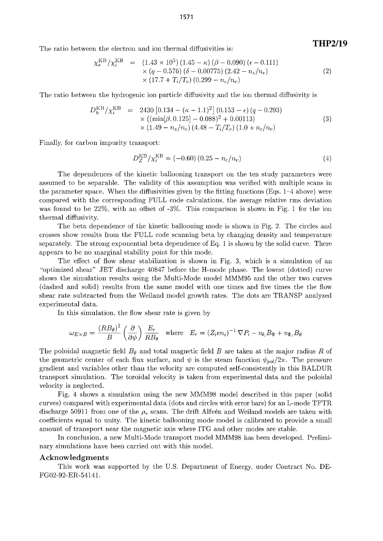The ratio between the electron and ion thermal diffusivities is:

$$
\chi_e^{\text{KB}}/\chi_i^{\text{KB}} = (1.43 \times 10^5) (1.45 - \kappa) (\beta - 0.090) (\epsilon - 0.111)
$$
  
× (q - 0.576) (\delta - 0.00775) (2.42 - n\_s/n\_e)  
× (17.7 + T\_i/T\_e) (0.299 - n\_c/n\_e) (2)

The ratio between the hydrogenic ion particle diffusivity and the ion thermal diffusivity is

$$
D_h^{\text{KB}}/\chi_i^{\text{KB}} = 2430 [0.134 - (\kappa - 1.1)^2] (0.153 - \epsilon) (q - 0.293)
$$
  
× ((min[ $\beta$ , 0.125] - 0.088)<sup>2</sup> + 0.00113)  
× (1.49 -  $n_s/n_e$ ) (4.48 -  $T_i/T_e$ ) (1.0 +  $n_c/n_e$ ) (3)

Finally, for carbon impurity transport:

$$
D_Z^{\rm KB} / \chi_i^{\rm KB} = (-0.60) (0.25 - n_c/n_e)
$$
 (4)

THP2/19

The dependences of the kinetic ballooning transport on the ten study parameters were assumed to be separable. The validity of this assumption was verified with multiple scans in the parameter space. When the diffusivities given by the fitting functions (Eqs. 1-4 above) were compared with the corresponding FULL code calculations, the average relative rms deviation was found to be 22%, with an offset of -3%. This comparison is shown in Fig. 1 for the ion thermal diffusivity.

The beta dependence of the kinetic ballooning mode is shown in Fig. 2. The circles and crosses show results from the FULL code scanning beta by changing density and temperature separately. The strong exponential beta dependence of Eq. 1 is shown by the solid curve. There appears to be no marginal stability point for this mode.

The effect of flow shear stabilization is shown in Fig. 3, which is a simulation of an "optimized shear" JET discharge 40847 before the H-mode phase. The lowest (dotted) curve shows the simulation results using the Multi-Mode model MMM95 and the other two curves (dashed and solid) results from the same model with one times and five times the the flow shear rate subtracted from the Weiland model growth rates. The dots are TRANSP analyzed experimental data.

In this simulation, the flow shear rate is given by

$$
\omega_{E \times B} = \frac{(RB_{\theta})^2}{B} \left(\frac{\partial}{\partial \psi}\right) \frac{E_r}{RB_{\theta}} \quad \text{where} \quad E_r = (Z_i e n_i)^{-1} \nabla P_i - v_{\theta_i} B_{\Phi} + v_{\Phi_i} B_{\theta}
$$

The poloidal magnetic field  $B_{\theta}$  and total magnetic field B are taken at the major radius R of the geometric center of each flux surface, and  $\psi$  is the steam function  $\psi_{pol}/2\pi$ . The pressure gradient and variables other than the velocity are computed self-consistently in this BALDUR transport simulation. The toroidal velocity is taken from experimental data and the poloidal velocity is neglected.

Fig. 4 shows a simulation using the new MMM98 model described in this paper (solid curves) compared with experimental data (dots and circles with error bars) for an L-mode TFTR discharge 50911 from one of the  $\rho_*$  scans. The drift Alfven and Weiland models are taken with coefficients equal to unity. The kinetic ballooning mode model is calibrated to provide a small amount of transport near the magnetic axis where ITG and other modes are stable.

In conclusion, a new Multi-Mode transport model MMM98 has been developed. Preliminary simulations have been carried out with this model.

## **Acknowledgments**

This work was supported by the U.S. Department of Energy, under Contract No. DE-FG02-92-ER-54141.